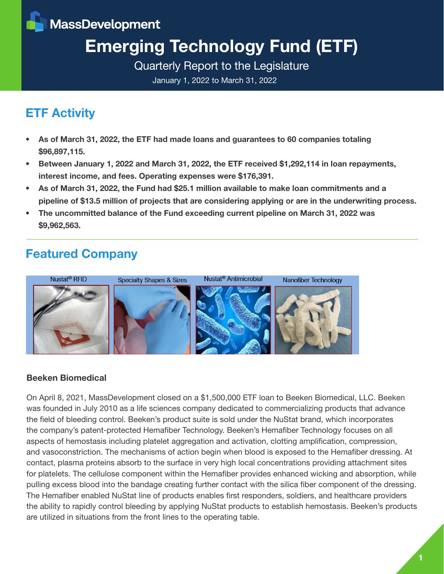**MassDevelopment** 

# Emerging Technology Fund (ETF)

Quarterly Report to the Legislature

January 1, 2022 to March 31, 2022

# ETF Activity

- As of March 31, 2022, the ETF had made loans and guarantees to 60 companies totaling \$96,897,115.
- Between January 1, 2022 and March 31, 2022, the ETF received \$1,292,114 in loan repayments, interest income, and fees. Operating expenses were \$176,391.
- As of March 31, 2022, the Fund had \$25.1 million available to make loan commitments and a pipeline of \$13.5 million of projects that are considering applying or are in the underwriting process.
- The uncommitted balance of the Fund exceeding current pipeline on March 31, 2022 was \$9,962,563.

# Featured Company



#### Beeken Biomedical

On April 8, 2021, MassDevelopment closed on a \$1,500,000 ETF loan to Beeken Biomedical, LLC. Beeken was founded in July 2010 as a life sciences company dedicated to commercializing products that advance the field of bleeding control. Beeken's product suite is sold under the NuStat brand, which incorporates the company's patent-protected Hemafiber Technology. Beeken's Hemafiber Technology focuses on all aspects of hemostasis including platelet aggregation and activation, clotting amplification, compression, and vasoconstriction. The mechanisms of action begin when blood is exposed to the Hemafiber dressing. At contact, plasma proteins absorb to the surface in very high local concentrations providing attachment sites for platelets. The cellulose component within the Hemafiber provides enhanced wicking and absorption, while pulling excess blood into the bandage creating further contact with the silica fiber component of the dressing. The Hemafiber enabled NuStat line of products enables first responders, soldiers, and healthcare providers the ability to rapidly control bleeding by applying NuStat products to establish hemostasis. Beeken's products are utilized in situations from the front lines to the operating table.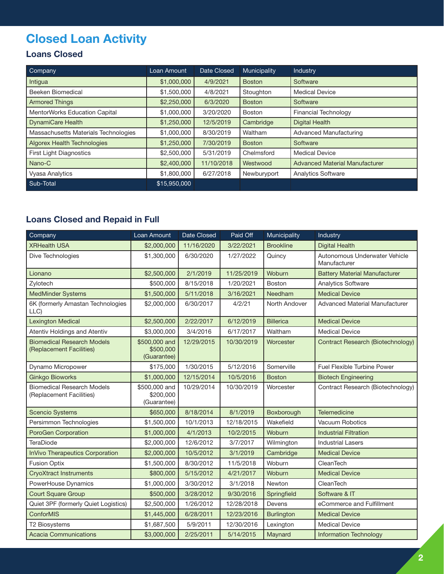# Closed Loan Activity

#### Loans Closed

| Company                              | Loan Amount  | <b>Date Closed</b> | Municipality  | Industry                              |
|--------------------------------------|--------------|--------------------|---------------|---------------------------------------|
| Intigua                              | \$1,000,000  | 4/9/2021           | <b>Boston</b> | Software                              |
| Beeken Biomedical                    | \$1,500,000  | 4/8/2021           | Stoughton     | <b>Medical Device</b>                 |
| <b>Armored Things</b>                | \$2,250,000  | 6/3/2020           | <b>Boston</b> | Software                              |
| MentorWorks Education Capital        | \$1,000,000  | 3/20/2020          | <b>Boston</b> | <b>Financial Technology</b>           |
| <b>DynamiCare Health</b>             | \$1,250,000  | 12/5/2019          | Cambridge     | <b>Digital Health</b>                 |
| Massachusetts Materials Technologies | \$1,000,000  | 8/30/2019          | Waltham       | <b>Advanced Manufacturing</b>         |
| <b>Algorex Health Technologies</b>   | \$1,250,000  | 7/30/2019          | <b>Boston</b> | Software                              |
| First Light Diagnostics              | \$2,500,000  | 5/31/2019          | Chelmsford    | <b>Medical Device</b>                 |
| Nano-C                               | \$2,400,000  | 11/10/2018         | Westwood      | <b>Advanced Material Manufacturer</b> |
| <b>Vyasa Analytics</b>               | \$1,800,000  | 6/27/2018          | Newburyport   | <b>Analytics Software</b>             |
| Sub-Total                            | \$15,950,000 |                    |               |                                       |

#### Loans Closed and Repaid in Full

| Company                                                       | Loan Amount                               | Date Closed | Paid Off   | Municipality      | Industry                                      |
|---------------------------------------------------------------|-------------------------------------------|-------------|------------|-------------------|-----------------------------------------------|
| <b>XRHealth USA</b>                                           | \$2,000,000                               | 11/16/2020  | 3/22/2021  | <b>Brookline</b>  | <b>Digital Health</b>                         |
| Dive Technologies                                             | \$1,300,000                               | 6/30/2020   | 1/27/2022  | Quincy            | Autonomous Underwater Vehicle<br>Manufacturer |
| Lionano                                                       | \$2,500,000                               | 2/1/2019    | 11/25/2019 | Woburn            | <b>Battery Material Manufacturer</b>          |
| Zylotech                                                      | \$500,000                                 | 8/15/2018   | 1/20/2021  | <b>Boston</b>     | Analytics Software                            |
| MedMinder Systems                                             | \$1,500,000                               | 5/11/2018   | 3/16/2021  | Needham           | <b>Medical Device</b>                         |
| 6K (formerly Amastan Technologies<br>LLC)                     | \$2,000,000                               | 6/30/2017   | 4/2/21     | North Andover     | <b>Advanced Material Manufacturer</b>         |
| <b>Lexington Medical</b>                                      | \$2,500,000                               | 2/22/2017   | 6/12/2019  | <b>Billerica</b>  | <b>Medical Device</b>                         |
| Atentiv Holdings and Atentiv                                  | \$3,000,000                               | 3/4/2016    | 6/17/2017  | Waltham           | <b>Medical Device</b>                         |
| <b>Biomedical Research Models</b><br>(Replacement Facilities) | \$500,000 and<br>\$500,000<br>(Guarantee) | 12/29/2015  | 10/30/2019 | Worcester         | Contract Research (Biotechnology)             |
| Dynamo Micropower                                             | \$175,000                                 | 1/30/2015   | 5/12/2016  | Somerville        | <b>Fuel Flexible Turbine Power</b>            |
| <b>Ginkgo Bioworks</b>                                        | \$1,000,000                               | 12/15/2014  | 10/5/2016  | <b>Boston</b>     | <b>Biotech Engineering</b>                    |
| <b>Biomedical Research Models</b><br>(Replacement Facilities) | \$500,000 and<br>\$200,000<br>(Guarantee) | 10/29/2014  | 10/30/2019 | Worcester         | Contract Research (Biotechnology)             |
| <b>Scencio Systems</b>                                        | \$650,000                                 | 8/18/2014   | 8/1/2019   | Boxborough        | <b>Telemedicine</b>                           |
| Persimmon Technologies                                        | \$1,500,000                               | 10/1/2013   | 12/18/2015 | Wakefield         | Vacuum Robotics                               |
| PoroGen Corporation                                           | \$1,000,000                               | 4/1/2013    | 10/2/2015  | Woburn            | <b>Industrial Filtration</b>                  |
| TeraDiode                                                     | \$2,000,000                               | 12/6/2012   | 3/7/2017   | Wilmington        | <b>Industrial Lasers</b>                      |
| <b>InVivo Therapeutics Corporation</b>                        | \$2,000,000                               | 10/5/2012   | 3/1/2019   | Cambridge         | <b>Medical Device</b>                         |
| <b>Fusion Optix</b>                                           | \$1,500,000                               | 8/30/2012   | 11/5/2018  | Woburn            | CleanTech                                     |
| <b>CryoXtract Instruments</b>                                 | \$800,000                                 | 5/15/2012   | 4/21/2017  | Woburn            | <b>Medical Device</b>                         |
| PowerHouse Dynamics                                           | \$1,000,000                               | 3/30/2012   | 3/1/2018   | Newton            | CleanTech                                     |
| <b>Court Square Group</b>                                     | \$500,000                                 | 3/28/2012   | 9/30/2016  | Springfield       | Software & IT                                 |
| Quiet 3PF (formerly Quiet Logistics)                          | \$2,500,000                               | 1/26/2012   | 12/28/2018 | Devens            | eCommerce and Fulfillment                     |
| ConforMIS                                                     | \$1,445,000                               | 6/28/2011   | 12/23/2016 | <b>Burlington</b> | <b>Medical Device</b>                         |
| T2 Biosystems                                                 | \$1,687,500                               | 5/9/2011    | 12/30/2016 | Lexington         | <b>Medical Device</b>                         |
| <b>Acacia Communications</b>                                  | \$3,000,000                               | 2/25/2011   | 5/14/2015  | Maynard           | <b>Information Technology</b>                 |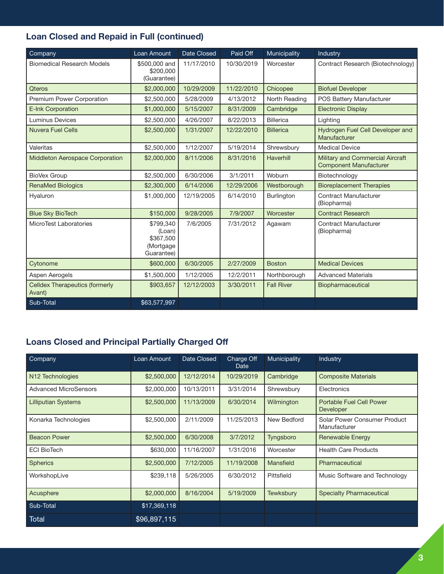### Loan Closed and Repaid in Full (continued)

| Company                                         | Loan Amount                                                 | Date Closed | Paid Off   | Municipality      | Industry                                                          |
|-------------------------------------------------|-------------------------------------------------------------|-------------|------------|-------------------|-------------------------------------------------------------------|
| <b>Biomedical Research Models</b>               | \$500,000 and<br>\$200,000<br>(Guarantee)                   | 11/17/2010  | 10/30/2019 | Worcester         | Contract Research (Biotechnology)                                 |
| <b>Qteros</b>                                   | \$2,000,000                                                 | 10/29/2009  | 11/22/2010 | Chicopee          | <b>Biofuel Developer</b>                                          |
| Premium Power Corporation                       | \$2,500,000                                                 | 5/28/2009   | 4/13/2012  | North Reading     | POS Battery Manufacturer                                          |
| E-Ink Corporation                               | \$1,000,000                                                 | 5/15/2007   | 8/31/2009  | Cambridge         | <b>Electronic Display</b>                                         |
| <b>Luminus Devices</b>                          | \$2,500,000                                                 | 4/26/2007   | 8/22/2013  | <b>Billerica</b>  | Lighting                                                          |
| <b>Nuvera Fuel Cells</b>                        | \$2,500,000                                                 | 1/31/2007   | 12/22/2010 | <b>Billerica</b>  | Hydrogen Fuel Cell Developer and<br>Manufacturer                  |
| Valeritas                                       | \$2,500,000                                                 | 1/12/2007   | 5/19/2014  | Shrewsbury        | <b>Medical Device</b>                                             |
| Middleton Aerospace Corporation                 | \$2,000,000                                                 | 8/11/2006   | 8/31/2016  | Haverhill         | Military and Commercial Aircraft<br><b>Component Manufacturer</b> |
| <b>BioVex Group</b>                             | \$2,500,000                                                 | 6/30/2006   | 3/1/2011   | Woburn            | Biotechnology                                                     |
| <b>RenaMed Biologics</b>                        | \$2,300,000                                                 | 6/14/2006   | 12/29/2006 | Westborough       | <b>Bioreplacement Therapies</b>                                   |
| Hyaluron                                        | \$1,000,000                                                 | 12/19/2005  | 6/14/2010  | Burlington        | <b>Contract Manufacturer</b><br>(Biopharma)                       |
| <b>Blue Sky BioTech</b>                         | \$150,000                                                   | 9/28/2005   | 7/9/2007   | Worcester         | <b>Contract Research</b>                                          |
| MicroTest Laboratories                          | \$799,340<br>(Loan)<br>\$367,500<br>(Mortgage<br>Guarantee) | 7/6/2005    | 7/31/2012  | Agawam            | <b>Contract Manufacturer</b><br>(Biopharma)                       |
| Cytonome                                        | \$600,000                                                   | 6/30/2005   | 2/27/2009  | <b>Boston</b>     | <b>Medical Devices</b>                                            |
| Aspen Aerogels                                  | \$1,500,000                                                 | 1/12/2005   | 12/2/2011  | Northborough      | <b>Advanced Materials</b>                                         |
| <b>Celldex Therapeutics (formerly</b><br>Avant) | \$903,657                                                   | 12/12/2003  | 3/30/2011  | <b>Fall River</b> | Biopharmaceutical                                                 |
| Sub-Total                                       | \$63,577,997                                                |             |            |                   |                                                                   |

#### Loans Closed and Principal Partially Charged Off

| Company                      | Loan Amount  | Date Closed | Charge Off<br>Date | Municipality | Industry                                     |
|------------------------------|--------------|-------------|--------------------|--------------|----------------------------------------------|
| N <sub>12</sub> Technologies | \$2,500,000  | 12/12/2014  | 10/29/2019         | Cambridge    | <b>Composite Materials</b>                   |
| <b>Advanced MicroSensors</b> | \$2,000,000  | 10/13/2011  | 3/31/2014          | Shrewsbury   | Electronics                                  |
| <b>Lilliputian Systems</b>   | \$2,500,000  | 11/13/2009  | 6/30/2014          | Wilmington   | Portable Fuel Cell Power<br>Developer        |
| Konarka Technologies         | \$2,500,000  | 2/11/2009   | 11/25/2013         | New Bedford  | Solar Power Consumer Product<br>Manufacturer |
| <b>Beacon Power</b>          | \$2,500,000  | 6/30/2008   | 3/7/2012           | Tyngsboro    | <b>Renewable Energy</b>                      |
| <b>ECI BioTech</b>           | \$630,000    | 11/16/2007  | 1/31/2016          | Worcester    | <b>Health Care Products</b>                  |
| <b>Spherics</b>              | \$2,500,000  | 7/12/2005   | 11/19/2008         | Mansfield    | Pharmaceutical                               |
| WorkshopLive                 | \$239,118    | 5/26/2005   | 6/30/2012          | Pittsfield   | Music Software and Technology                |
| Acusphere                    | \$2,000,000  | 8/16/2004   | 5/19/2009          | Tewksbury    | <b>Specialty Pharmaceutical</b>              |
| Sub-Total                    | \$17,369,118 |             |                    |              |                                              |
| Total                        | \$96,897,115 |             |                    |              |                                              |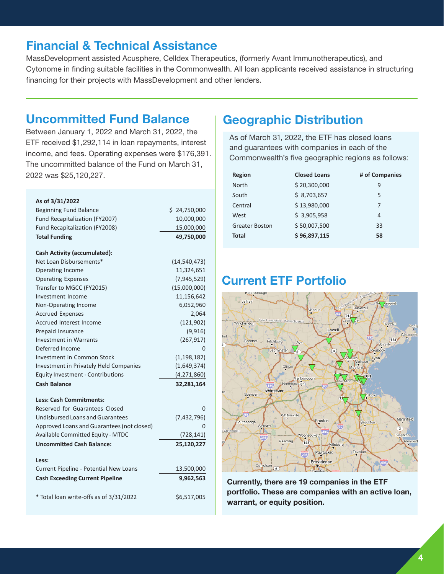## Financial & Technical Assistance

MassDevelopment assisted Acusphere, Celldex Therapeutics, (formerly Avant Immunotherapeutics), and Cytonome in finding suitable facilities in the Commonwealth. All loan applicants received assistance in structuring financing for their projects with MassDevelopment and other lenders.

### Uncommitted Fund Balance

Between January 1, 2022 and March 31, 2022, the ETF received \$1,292,114 in loan repayments, interest income, and fees. Operating expenses were \$176,391. The uncommitted balance of the Fund on March 31, 2022 was \$25,120,227.

| As of 3/31/2022                               |                |
|-----------------------------------------------|----------------|
| <b>Beginning Fund Balance</b>                 | \$24,750,000   |
| Fund Recapitalization (FY2007)                | 10,000,000     |
| Fund Recapitalization (FY2008)                | 15,000,000     |
| <b>Total Funding</b>                          | 49,750,000     |
| <b>Cash Activity (accumulated):</b>           |                |
| Net Loan Disbursements*                       | (14, 540, 473) |
| Operating Income                              | 11,324,651     |
| <b>Operating Expenses</b>                     | (7,945,529)    |
| Transfer to MGCC (FY2015)                     | (15,000,000)   |
| Investment Income                             | 11,156,642     |
| Non-Operating Income                          | 6,052,960      |
| <b>Accrued Expenses</b>                       | 2,064          |
| <b>Accrued Interest Income</b>                | (121, 902)     |
| Prepaid Insurance                             | (9,916)        |
| <b>Investment in Warrants</b>                 | (267, 917)     |
| Deferred Income                               | 0              |
| Investment in Common Stock                    | (1, 198, 182)  |
| <b>Investment in Privately Held Companies</b> | (1,649,374)    |
| <b>Equity Investment - Contributions</b>      | (4, 271, 860)  |
| <b>Cash Balance</b>                           | 32,281,164     |
| <b>Less: Cash Commitments:</b>                |                |
| Reserved for Guarantees Closed                | O              |
| Undisbursed Loans and Guarantees              | (7,432,796)    |
| Approved Loans and Guarantees (not closed)    |                |
| <b>Available Committed Equity - MTDC</b>      | (728, 141)     |
| <b>Uncommitted Cash Balance:</b>              | 25,120,227     |
| Less:                                         |                |
| Current Pipeline - Potential New Loans        | 13,500,000     |
| <b>Cash Exceeding Current Pipeline</b>        | 9,962,563      |
| * Total loan write-offs as of 3/31/2022       | \$6,517,005    |

# Geographic Distribution

As of March 31, 2022, the ETF has closed loans and guarantees with companies in each of the Commonwealth's five geographic regions as follows:

| Region                | <b>Closed Loans</b> | # of Companies |
|-----------------------|---------------------|----------------|
| North                 | \$20,300,000        | 9              |
| South                 | \$8,703,657         | 5              |
| Central               | \$13,980,000        | 7              |
| West                  | \$3,905,958         | 4              |
| <b>Greater Boston</b> | \$50,007,500        | 33             |
| <b>Total</b>          | \$96,897,115        | 58             |

## Current ETF Portfolio



Currently, there are 19 companies in the ETF portfolio. These are companies with an active loan, warrant, or equity position.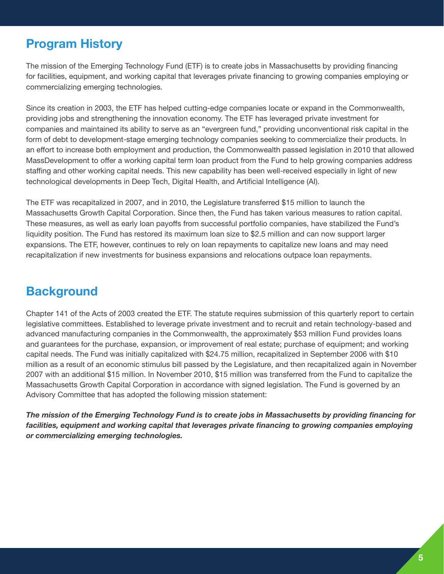# Program History

The mission of the Emerging Technology Fund (ETF) is to create jobs in Massachusetts by providing financing for facilities, equipment, and working capital that leverages private financing to growing companies employing or commercializing emerging technologies.

Since its creation in 2003, the ETF has helped cutting-edge companies locate or expand in the Commonwealth, providing jobs and strengthening the innovation economy. The ETF has leveraged private investment for companies and maintained its ability to serve as an "evergreen fund," providing unconventional risk capital in the form of debt to development-stage emerging technology companies seeking to commercialize their products. In an effort to increase both employment and production, the Commonwealth passed legislation in 2010 that allowed MassDevelopment to offer a working capital term loan product from the Fund to help growing companies address staffing and other working capital needs. This new capability has been well-received especially in light of new technological developments in Deep Tech, Digital Health, and Artificial Intelligence (AI).

The ETF was recapitalized in 2007, and in 2010, the Legislature transferred \$15 million to launch the Massachusetts Growth Capital Corporation. Since then, the Fund has taken various measures to ration capital. These measures, as well as early loan payoffs from successful portfolio companies, have stabilized the Fund's liquidity position. The Fund has restored its maximum loan size to \$2.5 million and can now support larger expansions. The ETF, however, continues to rely on loan repayments to capitalize new loans and may need recapitalization if new investments for business expansions and relocations outpace loan repayments.

## **Background**

Chapter 141 of the Acts of 2003 created the ETF. The statute requires submission of this quarterly report to certain legislative committees. Established to leverage private investment and to recruit and retain technology-based and advanced manufacturing companies in the Commonwealth, the approximately \$53 million Fund provides loans and guarantees for the purchase, expansion, or improvement of real estate; purchase of equipment; and working capital needs. The Fund was initially capitalized with \$24.75 million, recapitalized in September 2006 with \$10 million as a result of an economic stimulus bill passed by the Legislature, and then recapitalized again in November 2007 with an additional \$15 million. In November 2010, \$15 million was transferred from the Fund to capitalize the Massachusetts Growth Capital Corporation in accordance with signed legislation. The Fund is governed by an Advisory Committee that has adopted the following mission statement:

*The mission of the Emerging Technology Fund is to create jobs in Massachusetts by providing financing for facilities, equipment and working capital that leverages private financing to growing companies employing or commercializing emerging technologies.*